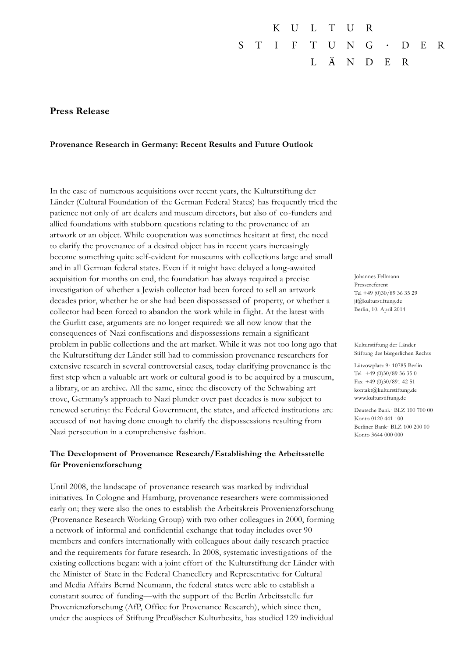#### $\overline{U}$  $T$ K  $\mathbf{L}$  $\mathbf{U}$ R S  $T$  $\blacksquare$  T = F  $T$ U N G D  $E$ R Ä  $\overline{L}$ N D  $E$  $\mathbf R$

## **Press Release**

### **Provenance Research in Germany: Recent Results and Future Outlook**

In the case of numerous acquisitions over recent years, the Kulturstiftung der Länder (Cultural Foundation of the German Federal States) has frequently tried the patience not only of art dealers and museum directors, but also of co-funders and allied foundations with stubborn questions relating to the provenance of an artwork or an object. While cooperation was sometimes hesitant at first, the need to clarify the provenance of a desired object has in recent years increasingly become something quite self-evident for museums with collections large and small and in all German federal states. Even if it might have delayed a long-awaited acquisition for months on end, the foundation has always required a precise investigation of whether a Jewish collector had been forced to sell an artwork decades prior, whether he or she had been dispossessed of property, or whether a collector had been forced to abandon the work while in flight. At the latest with the Gurlitt case, arguments are no longer required: we all now know that the consequences of Nazi confiscations and dispossessions remain a significant problem in public collections and the art market. While it was not too long ago that the Kulturstiftung der Länder still had to commission provenance researchers for extensive research in several controversial cases, today clarifying provenance is the first step when a valuable art work or cultural good is to be acquired by a museum, a library, or an archive. All the same, since the discovery of the Schwabing art trove, Germany's approach to Nazi plunder over past decades is now subject to renewed scrutiny: the Federal Government, the states, and affected institutions are accused of not having done enough to clarify the dispossessions resulting from Nazi persecution in a comprehensive fashion.

# **The Development of Provenance Research/Establishing the Arbeitsstelle für Provenienzforschung**

Until 2008, the landscape of provenance research was marked by individual initiatives. In Cologne and Hamburg, provenance researchers were commissioned early on; they were also the ones to establish the Arbeitskreis Provenienzforschung (Provenance Research Working Group) with two other colleagues in 2000, forming a network of informal and confidential exchange that today includes over 90 members and confers internationally with colleagues about daily research practice and the requirements for future research. In 2008, systematic investigations of the existing collections began: with a joint effort of the Kulturstiftung der Länder with the [Minister of State in the Federal Chancellery and Representative for Cultural](http://www.bundesregierung.de/Webs/Breg/DE/Bundesregierung/BeauftragtefuerKulturundMedien/beauftragte-fuer-kultur-und-medien.html)  [and Media Affairs](http://www.bundesregierung.de/Webs/Breg/DE/Bundesregierung/BeauftragtefuerKulturundMedien/beauftragte-fuer-kultur-und-medien.html) Bernd Neumann, the federal states were able to establish a constant source of funding—with the support of the Berlin Arbeitsstelle fur Provenienzforschung (AfP, Office for Provenance Research), which since then, under the auspices of Stiftung Preußischer Kulturbesitz, has studied 129 individual

Johannes Fellmann Pressereferent Tel +49 (0)30/89 36 35 29 jf@kulturstiftung.de Berlin, 10. April 2014

Kulturstiftung der Länder Stiftung des bürgerlichen Rechts

Lützowplatz 9· 10785 Berlin Tel +49 (0)30/89 36 35 0 Fax +49 (0)30/891 42 51 kontakt@kulturstiftung.de www.kulturstiftung.de

Deutsche Bank· BLZ 100 700 00 Konto 0120 441 100 Berliner Bank· BLZ 100 200 00 Konto 3644 000 000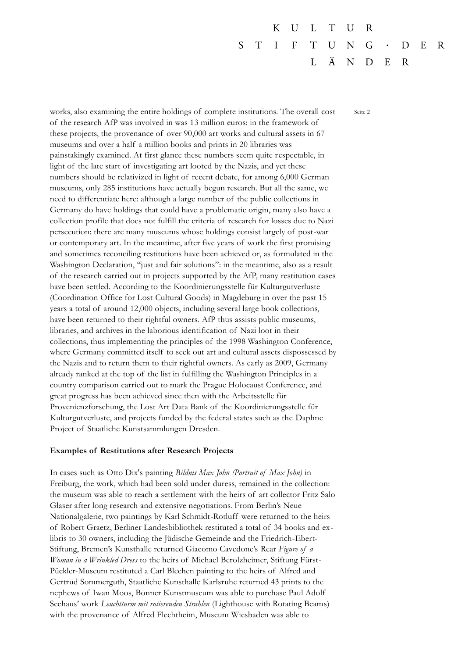$\mathbf{U}$ K  $\mathbf{L}$  $T$ U R S  $T$  $\mathbf{I}$  $F$  $T$ U N G  $E$ R D Ä  $\mathbf{I}$ . N D  $E$  $\mathbf R$ 

works, also examining the entire holdings of complete institutions. The overall cost Seite 2 of the research AfP was involved in was 13 million euros: in the framework of these projects, the provenance of over 90,000 art works and cultural assets in 67 museums and over a half a million books and prints in 20 libraries was painstakingly examined. At first glance these numbers seem quite respectable, in light of the late start of investigating art looted by the Nazis, and yet these numbers should be relativized in light of recent debate, for among 6,000 German museums, only 285 institutions have actually begun research. But all the same, we need to differentiate here: although a large number of the public collections in Germany do have holdings that could have a problematic origin, many also have a collection profile that does not fulfill the criteria of research for losses due to Nazi persecution: there are many museums whose holdings consist largely of post-war or contemporary art. In the meantime, after five years of work the first promising and sometimes reconciling restitutions have been achieved or, as formulated in the Washington Declaration, "just and fair solutions": in the meantime, also as a result of the research carried out in projects supported by the AfP, many restitution cases have been settled. According to the Koordinierungsstelle für Kulturgutverluste (Coordination Office for Lost Cultural Goods) in Magdeburg in over the past 15 years a total of around 12,000 objects, including several large book collections, have been returned to their rightful owners. AfP thus assists public museums, libraries, and archives in the laborious identification of Nazi loot in their collections, thus implementing the principles of the 1998 Washington Conference, where Germany committed itself to seek out art and cultural assets dispossessed by the Nazis and to return them to their rightful owners. As early as 2009, Germany already ranked at the top of the list in fulfilling the Washington Principles in a country comparison carried out to mark the Prague Holocaust Conference, and great progress has been achieved since then with the Arbeitsstelle für Provenienzforschung, the Lost Art Data Bank of the Koordinierungsstelle für Kulturgutverluste, and projects funded by the federal states such as the Daphne Project of Staatliche Kunstsammlungen Dresden.

#### **Examples of Restitutions after Research Projects**

In cases such as Otto Dix's painting *Bildnis Max John (Portrait of Max John)* in Freiburg, the work, which had been sold under duress, remained in the collection: the museum was able to reach a settlement with the heirs of art collector Fritz Salo Glaser after long research and extensive negotiations. From Berlin's Neue Nationalgalerie, two paintings by Karl Schmidt-Rotluff were returned to the heirs of Robert Graetz, Berliner Landesbibliothek restituted a total of 34 books and exlibris to 30 owners, including the Jüdische Gemeinde and the Friedrich-Ebert-Stiftung, Bremen's Kunsthalle returned Giacomo Cavedone's Rear *Figure of a Woman in a Wrinkled Dress* to the heirs of Michael Berolzheimer, Stiftung Fürst-Pückler-Museum restituted a Carl Blechen painting to the heirs of Alfred and Gertrud Sommerguth, Staatliche Kunsthalle Karlsruhe returned 43 prints to the nephews of Iwan Moos, Bonner Kunstmuseum was able to purchase Paul Adolf Seehaus' work *Leuchtturm mit rotierenden Strahlen* (Lighthouse with Rotating Beams) with the provenance of Alfred Flechtheim, Museum Wiesbaden was able to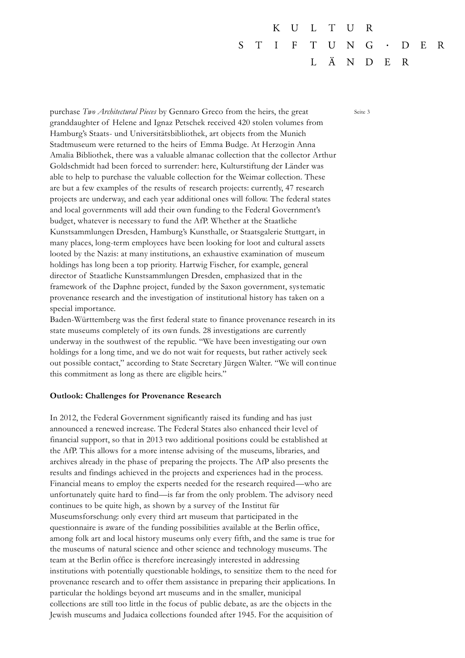$\overline{U}$ K  $\mathbf{L}$  $T$ U R S  $T$  $\mathbf{I}$  $\mathbf{F}$  $T$ U N G  $E$ R D Ä  $\mathbf{I}$ . N D  $E$  $\mathbf R$ 

purchase *Two Architectural Pieces* by Gennaro Greco from the heirs, the great Seite 3 granddaughter of Helene and Ignaz Petschek received 420 stolen volumes from Hamburg's Staats- und Universitätsbibliothek, art objects from the Munich Stadtmuseum were returned to the heirs of Emma Budge. At Herzogin Anna Amalia Bibliothek, there was a valuable almanac collection that the collector Arthur Goldschmidt had been forced to surrender: here, Kulturstiftung der Länder was able to help to purchase the valuable collection for the Weimar collection. These are but a few examples of the results of research projects: currently, 47 research projects are underway, and each year additional ones will follow. The federal states and local governments will add their own funding to the Federal Government's budget, whatever is necessary to fund the AfP. Whether at the Staatliche Kunstsammlungen Dresden, Hamburg's Kunsthalle, or Staatsgalerie Stuttgart, in many places, long-term employees have been looking for loot and cultural assets looted by the Nazis: at many institutions, an exhaustive examination of museum holdings has long been a top priority. Hartwig Fischer, for example, general director of Staatliche Kunstsammlungen Dresden, emphasized that in the framework of the Daphne project, funded by the Saxon government, systematic provenance research and the investigation of institutional history has taken on a special importance.

Baden-Württemberg was the first federal state to finance provenance research in its state museums completely of its own funds. 28 investigations are currently underway in the southwest of the republic. "We have been investigating our own holdings for a long time, and we do not wait for requests, but rather actively seek out possible contact," according to State Secretary Jürgen Walter. "We will continue this commitment as long as there are eligible heirs."

#### **Outlook: Challenges for Provenance Research**

In 2012, the Federal Government significantly raised its funding and has just announced a renewed increase. The Federal States also enhanced their level of financial support, so that in 2013 two additional positions could be established at the AfP. This allows for a more intense advising of the museums, libraries, and archives already in the phase of preparing the projects. The AfP also presents the results and findings achieved in the projects and experiences had in the process. Financial means to employ the experts needed for the research required—who are unfortunately quite hard to find—is far from the only problem. The advisory need continues to be quite high, as shown by a survey of the Institut für Museumsforschung: only every third art museum that participated in the questionnaire is aware of the funding possibilities available at the Berlin office, among folk art and local history museums only every fifth, and the same is true for the museums of natural science and other science and technology museums. The team at the Berlin office is therefore increasingly interested in addressing institutions with potentially questionable holdings, to sensitize them to the need for provenance research and to offer them assistance in preparing their applications. In particular the holdings beyond art museums and in the smaller, municipal collections are still too little in the focus of public debate, as are the objects in the Jewish museums and Judaica collections founded after 1945. For the acquisition of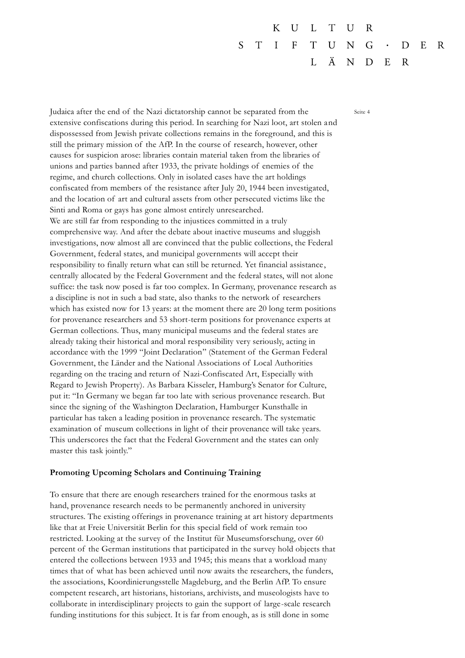$\overline{U}$  $T$ K  $\mathbf{L}$  $\mathbf{U}$ R S  $T$  $\mathbf{I}$  $F$  $T$ U N G D  $E$ R Ä  $\mathbf{L}$ N D  $E$  $\mathbf R$ 

Judaica after the end of the Nazi dictatorship cannot be separated from the Seite 4 extensive confiscations during this period. In searching for Nazi loot, art stolen and dispossessed from Jewish private collections remains in the foreground, and this is still the primary mission of the AfP. In the course of research, however, other causes for suspicion arose: libraries contain material taken from the libraries of unions and parties banned after 1933, the private holdings of enemies of the regime, and church collections. Only in isolated cases have the art holdings confiscated from members of the resistance after July 20, 1944 been investigated, and the location of art and cultural assets from other persecuted victims like the Sinti and Roma or gays has gone almost entirely unresearched. We are still far from responding to the injustices committed in a truly comprehensive way. And after the debate about inactive museums and sluggish investigations, now almost all are convinced that the public collections, the Federal Government, federal states, and municipal governments will accept their responsibility to finally return what can still be returned. Yet financial assistance, centrally allocated by the Federal Government and the federal states, will not alone suffice: the task now posed is far too complex. In Germany, provenance research as a discipline is not in such a bad state, also thanks to the network of researchers which has existed now for 13 years: at the moment there are 20 long term positions for provenance researchers and 53 short-term positions for provenance experts at German collections. Thus, many municipal museums and the federal states are already taking their historical and moral responsibility very seriously, acting in accordance with the 1999 "Joint Declaration" (Statement of the German Federal Government, the Länder and the National Associations of Local Authorities regarding on the tracing and return of Nazi-Confiscated Art, Especially with Regard to Jewish Property). As Barbara Kisseler, Hamburg's Senator for Culture, put it: "In Germany we began far too late with serious provenance research. But since the signing of the Washington Declaration, Hamburger Kunsthalle in particular has taken a leading position in provenance research. The systematic examination of museum collections in light of their provenance will take years. This underscores the fact that the Federal Government and the states can only master this task jointly."

### **Promoting Upcoming Scholars and Continuing Training**

To ensure that there are enough researchers trained for the enormous tasks at hand, provenance research needs to be permanently anchored in university structures. The existing offerings in provenance training at art history departments like that at Freie Universität Berlin for this special field of work remain too restricted. Looking at the survey of the Institut für Museumsforschung, over 60 percent of the German institutions that participated in the survey hold objects that entered the collections between 1933 and 1945; this means that a workload many times that of what has been achieved until now awaits the researchers, the funders, the associations, Koordinierungsstelle Magdeburg, and the Berlin AfP. To ensure competent research, art historians, historians, archivists, and museologists have to collaborate in interdisciplinary projects to gain the support of large-scale research funding institutions for this subject. It is far from enough, as is still done in some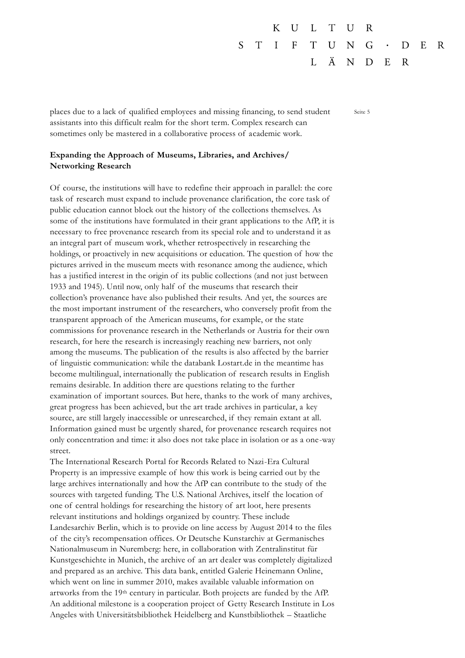#### $\overline{U}$ K  $\mathbf{L}$  $T$ U R S  $T$  $\mathbf{I}$  $\mathbf{F}$  $T$ U N G  $E$ R D Ä  $\mathbf{I}$ . N D  $E$  $\mathbf R$

places due to a lack of qualified employees and missing financing, to send student Seite 5 assistants into this difficult realm for the short term. Complex research can sometimes only be mastered in a collaborative process of academic work.

# **Expanding the Approach of Museums, Libraries, and Archives/ Networking Research**

Of course, the institutions will have to redefine their approach in parallel: the core task of research must expand to include provenance clarification, the core task of public education cannot block out the history of the collections themselves. As some of the institutions have formulated in their grant applications to the AfP, it is necessary to free provenance research from its special role and to understand it as an integral part of museum work, whether retrospectively in researching the holdings, or proactively in new acquisitions or education. The question of how the pictures arrived in the museum meets with resonance among the audience, which has a justified interest in the origin of its public collections (and not just between 1933 and 1945). Until now, only half of the museums that research their collection's provenance have also published their results. And yet, the sources are the most important instrument of the researchers, who conversely profit from the transparent approach of the American museums, for example, or the state commissions for provenance research in the Netherlands or Austria for their own research, for here the research is increasingly reaching new barriers, not only among the museums. The publication of the results is also affected by the barrier of linguistic communication: while the databank Lostart.de in the meantime has become multilingual, internationally the publication of research results in English remains desirable. In addition there are questions relating to the further examination of important sources. But here, thanks to the work of many archives, great progress has been achieved, but the art trade archives in particular, a key source, are still largely inaccessible or unresearched, if they remain extant at all. Information gained must be urgently shared, for provenance research requires not only concentration and time: it also does not take place in isolation or as a one-way street.

The International Research Portal for Records Related to Nazi-Era Cultural Property is an impressive example of how this work is being carried out by the large archives internationally and how the AfP can contribute to the study of the sources with targeted funding. The U.S. National Archives, itself the location of one of central holdings for researching the history of art loot, here presents relevant institutions and holdings organized by country. These include Landesarchiv Berlin, which is to provide on line access by August 2014 to the files of the city's recompensation offices. Or Deutsche Kunstarchiv at Germanisches Nationalmuseum in Nuremberg: here, in collaboration with Zentralinstitut für Kunstgeschichte in Munich, the archive of an art dealer was completely digitalized and prepared as an archive. This data bank, entitled Galerie Heinemann Online, which went on line in summer 2010, makes available valuable information on artworks from the 19th century in particular. Both projects are funded by the AfP. An additional milestone is a cooperation project of Getty Research Institute in Los Angeles with Universitätsbibliothek Heidelberg and Kunstbibliothek – Staatliche